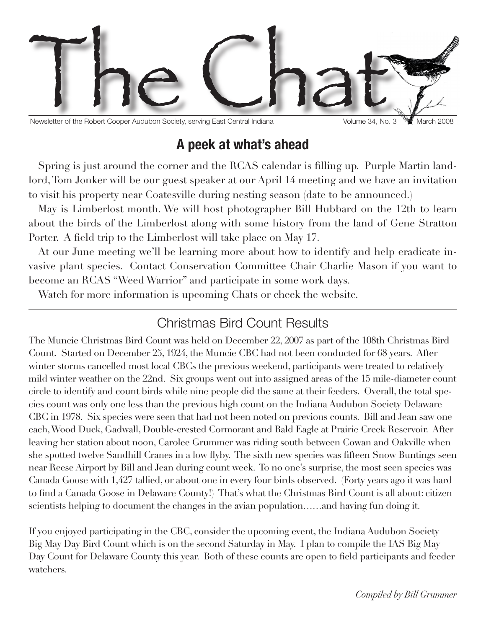

Newsletter of the Robert Cooper Audubon Society, serving East Central Indiana Volume 34, No. 3 March 2008

## **A peek at what's ahead**

Spring is just around the corner and the RCAS calendar is filling up. Purple Martin landlord, Tom Jonker will be our guest speaker at our April 14 meeting and we have an invitation to visit his property near Coatesville during nesting season (date to be announced.)

May is Limberlost month. We will host photographer Bill Hubbard on the 12th to learn about the birds of the Limberlost along with some history from the land of Gene Stratton Porter. A field trip to the Limberlost will take place on May 17.

At our June meeting we'll be learning more about how to identify and help eradicate invasive plant species. Contact Conservation Committee Chair Charlie Mason if you want to become an RCAS "Weed Warrior" and participate in some work days.

Watch for more information is upcoming Chats or check the website.

### Christmas Bird Count Results

The Muncie Christmas Bird Count was held on December 22, 2007 as part of the 108th Christmas Bird Count. Started on December 25, 1924, the Muncie CBC had not been conducted for 68 years. After winter storms cancelled most local CBCs the previous weekend, participants were treated to relatively mild winter weather on the 22nd. Six groups went out into assigned areas of the 15 mile-diameter count circle to identify and count birds while nine people did the same at their feeders. Overall, the total species count was only one less than the previous high count on the Indiana Audubon Society Delaware CBC in 1978. Six species were seen that had not been noted on previous counts. Bill and Jean saw one each, Wood Duck, Gadwall, Double-crested Cormorant and Bald Eagle at Prairie Creek Reservoir. After leaving her station about noon, Carolee Grummer was riding south between Cowan and Oakville when she spotted twelve Sandhill Cranes in a low flyby. The sixth new species was fifteen Snow Buntings seen near Reese Airport by Bill and Jean during count week. To no one's surprise, the most seen species was Canada Goose with 1,427 tallied, or about one in every four birds observed. (Forty years ago it was hard to find a Canada Goose in Delaware County!) That's what the Christmas Bird Count is all about: citizen scientists helping to document the changes in the avian population……and having fun doing it.

If you enjoyed participating in the CBC, consider the upcoming event, the Indiana Audubon Society Big May Day Bird Count which is on the second Saturday in May. I plan to compile the IAS Big May Day Count for Delaware County this year. Both of these counts are open to field participants and feeder watchers.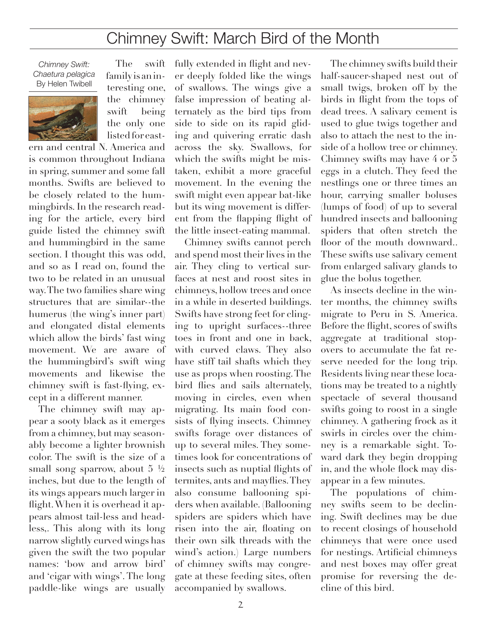# Chimney Swift: March Bird of the Month

*Chimney Swift: Chaetura pelagica* By Helen Twibell



The swift family is an interesting one, the chimney swift being the only one listed for east-

ern and central N. America and is common throughout Indiana in spring, summer and some fall months. Swifts are believed to be closely related to the hummingbirds. In the research reading for the article, every bird guide listed the chimney swift and hummingbird in the same section. I thought this was odd, and so as I read on, found the two to be related in an unusual way. The two families share wing structures that are similar--the humerus (the wing's inner part) and elongated distal elements which allow the birds' fast wing movement. We are aware of the hummingbird's swift wing movements and likewise the chimney swift is fast-flying, except in a different manner.

The chimney swift may appear a sooty black as it emerges from a chimney, but may seasonably become a lighter brownish color. The swift is the size of a small song sparrow, about 5 ½ inches, but due to the length of its wings appears much larger in flight. When it is overhead it appears almost tail-less and headless,. This along with its long narrow slightly curved wings has given the swift the two popular names: 'bow and arrow bird' and 'cigar with wings'. The long paddle-like wings are usually

fully extended in flight and never deeply folded like the wings of swallows. The wings give a false impression of beating alternately as the bird tips from side to side on its rapid gliding and quivering erratic dash across the sky. Swallows, for which the swifts might be mistaken, exhibit a more graceful movement. In the evening the swift might even appear bat-like but its wing movement is different from the flapping flight of the little insect-eating mammal.

Chimney swifts cannot perch and spend most their lives in the air. They cling to vertical surfaces at nest and roost sites in chimneys, hollow trees and once in a while in deserted buildings. Swifts have strong feet for clinging to upright surfaces--three toes in front and one in back, with curved claws. They also have stiff tail shafts which they use as props when roosting. The bird flies and sails alternately, moving in circles, even when migrating. Its main food consists of flying insects. Chimney swifts forage over distances of up to several miles. They sometimes look for concentrations of insects such as nuptial flights of termites, ants and mayflies. They also consume ballooning spiders when available. (Ballooning spiders are spiders which have risen into the air, floating on their own silk threads with the wind's action.) Large numbers of chimney swifts may congregate at these feeding sites, often accompanied by swallows.

The chimney swifts build their half-saucer-shaped nest out of small twigs, broken off by the birds in flight from the tops of dead trees. A salivary cement is used to glue twigs together and also to attach the nest to the inside of a hollow tree or chimney. Chimney swifts may have 4 or 5 eggs in a clutch. They feed the nestlings one or three times an hour, carrying smaller boluses (lumps of food) of up to several hundred insects and ballooning spiders that often stretch the floor of the mouth downward.. These swifts use salivary cement from enlarged salivary glands to glue the bolus together.

As insects decline in the winter months, the chimney swifts migrate to Peru in S. America. Before the flight, scores of swifts aggregate at traditional stopovers to accumulate the fat reserve needed for the long trip. Residents living near these locations may be treated to a nightly spectacle of several thousand swifts going to roost in a single chimney. A gathering frock as it swirls in circles over the chimney is a remarkable sight. Toward dark they begin dropping in, and the whole flock may disappear in a few minutes.

The populations of chimney swifts seem to be declining. Swift declines may be due to recent closings of household chimneys that were once used for nestings. Artificial chimneys and nest boxes may offer great promise for reversing the decline of this bird.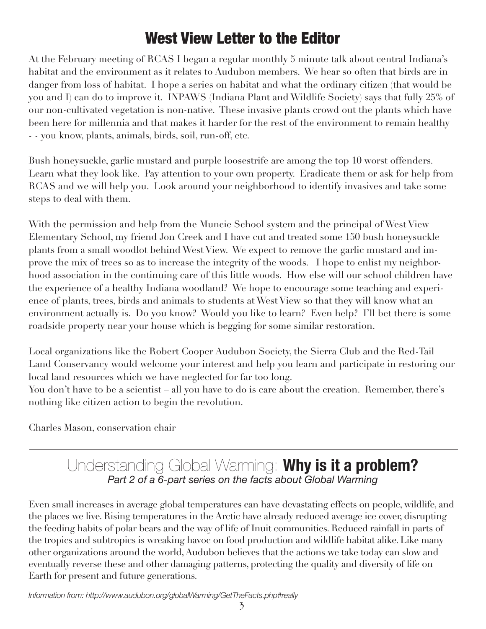# West View Letter to the Editor

At the February meeting of RCAS I began a regular monthly 5 minute talk about central Indiana's habitat and the environment as it relates to Audubon members. We hear so often that birds are in danger from loss of habitat. I hope a series on habitat and what the ordinary citizen (that would be you and I) can do to improve it. INPAWS (Indiana Plant and Wildlife Society) says that fully 25% of our non-cultivated vegetation is non-native. These invasive plants crowd out the plants which have been here for millennia and that makes it harder for the rest of the environment to remain healthy - - you know, plants, animals, birds, soil, run-off, etc.

Bush honeysuckle, garlic mustard and purple loosestrife are among the top 10 worst offenders. Learn what they look like. Pay attention to your own property. Eradicate them or ask for help from RCAS and we will help you. Look around your neighborhood to identify invasives and take some steps to deal with them.

With the permission and help from the Muncie School system and the principal of West View Elementary School, my friend Jon Creek and I have cut and treated some 150 bush honeysuckle plants from a small woodlot behind West View. We expect to remove the garlic mustard and improve the mix of trees so as to increase the integrity of the woods. I hope to enlist my neighborhood association in the continuing care of this little woods. How else will our school children have the experience of a healthy Indiana woodland? We hope to encourage some teaching and experience of plants, trees, birds and animals to students at West View so that they will know what an environment actually is. Do you know? Would you like to learn? Even help? I'll bet there is some roadside property near your house which is begging for some similar restoration.

Local organizations like the Robert Cooper Audubon Society, the Sierra Club and the Red-Tail Land Conservancy would welcome your interest and help you learn and participate in restoring our local land resources which we have neglected for far too long.

You don't have to be a scientist – all you have to do is care about the creation. Remember, there's nothing like citizen action to begin the revolution.

Charles Mason, conservation chair

#### Understanding Global Warming: **Why is it a problem?** *Part 2 of a 6-part series on the facts about Global Warming*

Even small increases in average global temperatures can have devastating effects on people, wildlife, and the places we live. Rising temperatures in the Arctic have already reduced average ice cover, disrupting the feeding habits of polar bears and the way of life of Inuit communities. Reduced rainfall in parts of the tropics and subtropics is wreaking havoc on food production and wildlife habitat alike. Like many other organizations around the world, Audubon believes that the actions we take today can slow and eventually reverse these and other damaging patterns, protecting the quality and diversity of life on Earth for present and future generations.